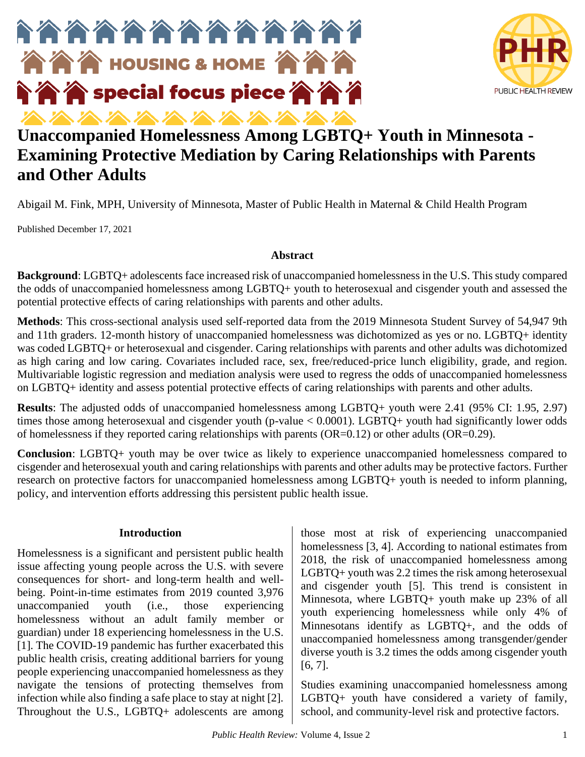



# **Unaccompanied Homelessness Among LGBTQ+ Youth in Minnesota - Examining Protective Mediation by Caring Relationships with Parents and Other Adults**

Abigail M. Fink, MPH, University of Minnesota, Master of Public Health in Maternal & Child Health Program

Published December 17, 2021

### **Abstract**

**Background**: LGBTQ+ adolescents face increased risk of unaccompanied homelessness in the U.S. This study compared the odds of unaccompanied homelessness among LGBTQ+ youth to heterosexual and cisgender youth and assessed the potential protective effects of caring relationships with parents and other adults.

**Methods**: This cross-sectional analysis used self-reported data from the 2019 Minnesota Student Survey of 54,947 9th and 11th graders. 12-month history of unaccompanied homelessness was dichotomized as yes or no. LGBTQ+ identity was coded LGBTQ+ or heterosexual and cisgender. Caring relationships with parents and other adults was dichotomized as high caring and low caring. Covariates included race, sex, free/reduced-price lunch eligibility, grade, and region. Multivariable logistic regression and mediation analysis were used to regress the odds of unaccompanied homelessness on LGBTQ+ identity and assess potential protective effects of caring relationships with parents and other adults.

**Results**: The adjusted odds of unaccompanied homelessness among LGBTQ+ youth were 2.41 (95% CI: 1.95, 2.97) times those among heterosexual and cisgender youth (p-value < 0.0001). LGBTO+ youth had significantly lower odds of homelessness if they reported caring relationships with parents (OR=0.12) or other adults (OR=0.29).

**Conclusion**: LGBTQ+ youth may be over twice as likely to experience unaccompanied homelessness compared to cisgender and heterosexual youth and caring relationships with parents and other adults may be protective factors. Further research on protective factors for unaccompanied homelessness among LGBTQ+ youth is needed to inform planning, policy, and intervention efforts addressing this persistent public health issue.

### **Introduction**

Homelessness is a significant and persistent public health issue affecting young people across the U.S. with severe consequences for short- and long-term health and wellbeing. Point-in-time estimates from 2019 counted 3,976 unaccompanied youth (i.e., those experiencing homelessness without an adult family member or guardian) under 18 experiencing homelessness in the U.S. [1]. The COVID-19 pandemic has further exacerbated this public health crisis, creating additional barriers for young people experiencing unaccompanied homelessness as they navigate the tensions of protecting themselves from infection while also finding a safe place to stay at night [2]. Throughout the U.S., LGBTQ+ adolescents are among

those most at risk of experiencing unaccompanied homelessness [3, 4]. According to national estimates from 2018, the risk of unaccompanied homelessness among LGBTQ+ youth was 2.2 times the risk among heterosexual and cisgender youth [5]. This trend is consistent in Minnesota, where LGBTQ+ youth make up 23% of all youth experiencing homelessness while only 4% of Minnesotans identify as LGBTQ+, and the odds of unaccompanied homelessness among transgender/gender diverse youth is 3.2 times the odds among cisgender youth [6, 7].

Studies examining unaccompanied homelessness among LGBTQ+ youth have considered a variety of family, school, and community-level risk and protective factors.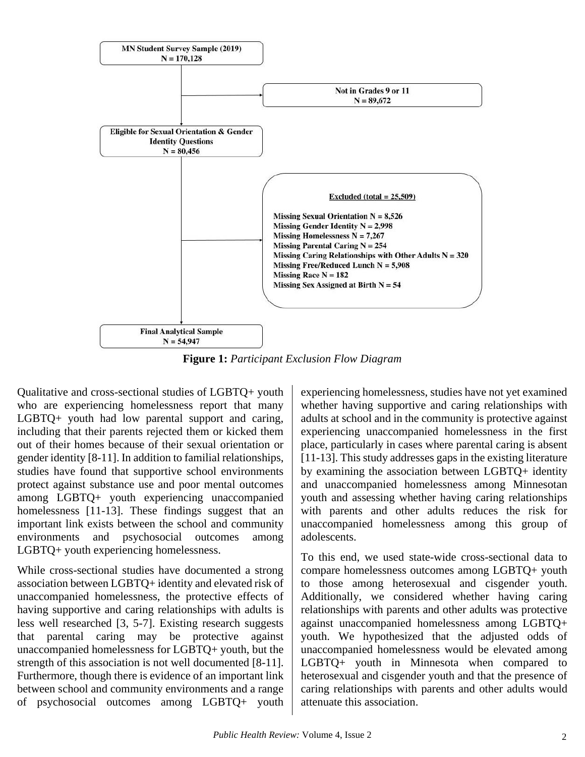

**Figure 1:** *Participant Exclusion Flow Diagram*

Qualitative and cross-sectional studies of LGBTQ+ youth who are experiencing homelessness report that many LGBTQ+ youth had low parental support and caring, including that their parents rejected them or kicked them out of their homes because of their sexual orientation or gender identity [8-11]. In addition to familial relationships, studies have found that supportive school environments protect against substance use and poor mental outcomes among LGBTQ+ youth experiencing unaccompanied homelessness [11-13]. These findings suggest that an important link exists between the school and community environments and psychosocial outcomes among LGBTQ+ youth experiencing homelessness.

While cross-sectional studies have documented a strong association between LGBTQ+ identity and elevated risk of unaccompanied homelessness, the protective effects of having supportive and caring relationships with adults is less well researched [3, 5-7]. Existing research suggests that parental caring may be protective against unaccompanied homelessness for LGBTQ+ youth, but the strength of this association is not well documented [8-11]. Furthermore, though there is evidence of an important link between school and community environments and a range of psychosocial outcomes among LGBTQ+ youth

experiencing homelessness, studies have not yet examined whether having supportive and caring relationships with adults at school and in the community is protective against experiencing unaccompanied homelessness in the first place, particularly in cases where parental caring is absent [11-13]. This study addresses gaps in the existing literature by examining the association between LGBTQ+ identity and unaccompanied homelessness among Minnesotan youth and assessing whether having caring relationships with parents and other adults reduces the risk for unaccompanied homelessness among this group of adolescents.

To this end, we used state-wide cross-sectional data to compare homelessness outcomes among LGBTQ+ youth to those among heterosexual and cisgender youth. Additionally, we considered whether having caring relationships with parents and other adults was protective against unaccompanied homelessness among LGBTQ+ youth. We hypothesized that the adjusted odds of unaccompanied homelessness would be elevated among LGBTQ+ youth in Minnesota when compared to heterosexual and cisgender youth and that the presence of caring relationships with parents and other adults would attenuate this association.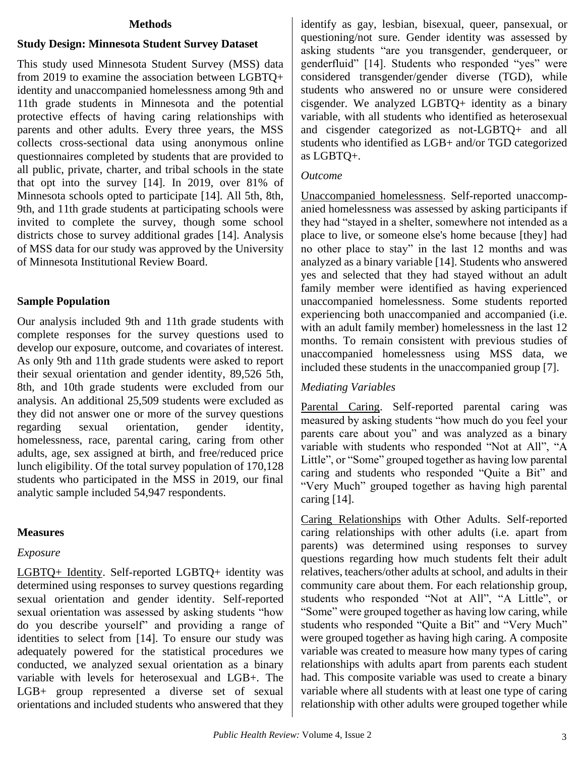#### **Methods**

### **Study Design: Minnesota Student Survey Dataset**

This study used Minnesota Student Survey (MSS) data from 2019 to examine the association between LGBTQ+ identity and unaccompanied homelessness among 9th and 11th grade students in Minnesota and the potential protective effects of having caring relationships with parents and other adults. Every three years, the MSS collects cross-sectional data using anonymous online questionnaires completed by students that are provided to all public, private, charter, and tribal schools in the state that opt into the survey [14]. In 2019, over 81% of Minnesota schools opted to participate [14]. All 5th, 8th, 9th, and 11th grade students at participating schools were invited to complete the survey, though some school districts chose to survey additional grades [14]. Analysis of MSS data for our study was approved by the University of Minnesota Institutional Review Board.

#### **Sample Population**

Our analysis included 9th and 11th grade students with complete responses for the survey questions used to develop our exposure, outcome, and covariates of interest. As only 9th and 11th grade students were asked to report their sexual orientation and gender identity, 89,526 5th, 8th, and 10th grade students were excluded from our analysis. An additional 25,509 students were excluded as they did not answer one or more of the survey questions regarding sexual orientation, gender identity, homelessness, race, parental caring, caring from other adults, age, sex assigned at birth, and free/reduced price lunch eligibility. Of the total survey population of 170,128 students who participated in the MSS in 2019, our final analytic sample included 54,947 respondents.

#### **Measures**

#### *Exposure*

LGBTQ+ Identity. Self-reported LGBTQ+ identity was determined using responses to survey questions regarding sexual orientation and gender identity. Self-reported sexual orientation was assessed by asking students "how do you describe yourself" and providing a range of identities to select from [14]. To ensure our study was adequately powered for the statistical procedures we conducted, we analyzed sexual orientation as a binary variable with levels for heterosexual and LGB+. The LGB+ group represented a diverse set of sexual orientations and included students who answered that they

identify as gay, lesbian, bisexual, queer, pansexual, or questioning/not sure. Gender identity was assessed by asking students "are you transgender, genderqueer, or genderfluid" [14]. Students who responded "yes" were considered transgender/gender diverse (TGD), while students who answered no or unsure were considered cisgender. We analyzed LGBTQ+ identity as a binary variable, with all students who identified as heterosexual and cisgender categorized as not-LGBTQ+ and all students who identified as LGB+ and/or TGD categorized as LGBTQ+.

#### *Outcome*

Unaccompanied homelessness. Self-reported unaccompanied homelessness was assessed by asking participants if they had "stayed in a shelter, somewhere not intended as a place to live, or someone else's home because [they] had no other place to stay" in the last 12 months and was analyzed as a binary variable [14]. Students who answered yes and selected that they had stayed without an adult family member were identified as having experienced unaccompanied homelessness. Some students reported experiencing both unaccompanied and accompanied (i.e. with an adult family member) homelessness in the last 12 months. To remain consistent with previous studies of unaccompanied homelessness using MSS data, we included these students in the unaccompanied group [7].

#### *Mediating Variables*

Parental Caring. Self-reported parental caring was measured by asking students "how much do you feel your parents care about you" and was analyzed as a binary variable with students who responded "Not at All", "A Little", or "Some" grouped together as having low parental caring and students who responded "Quite a Bit" and "Very Much" grouped together as having high parental caring [14].

Caring Relationships with Other Adults. Self-reported caring relationships with other adults (i.e. apart from parents) was determined using responses to survey questions regarding how much students felt their adult relatives, teachers/other adults at school, and adults in their community care about them. For each relationship group, students who responded "Not at All", "A Little", or "Some" were grouped together as having low caring, while students who responded "Quite a Bit" and "Very Much" were grouped together as having high caring. A composite variable was created to measure how many types of caring relationships with adults apart from parents each student had. This composite variable was used to create a binary variable where all students with at least one type of caring relationship with other adults were grouped together while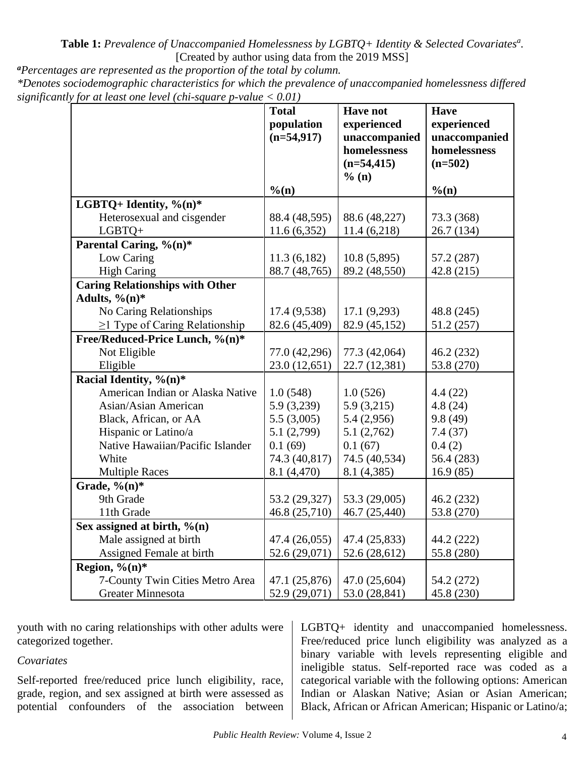**Table 1:** *Prevalence of Unaccompanied Homelessness by LGBTQ+ Identity & Selected Covariates<sup>a</sup> .* [Created by author using data from the 2019 MSS]

*<sup>a</sup>Percentages are represented as the proportion of the total by column. \*Denotes sociodemographic characteristics for which the prevalence of unaccompanied homelessness differed significantly for at least one level (chi-square p-value < 0.01)* 

| for an ieusi one ieven (chi-square p-vanie $\sim$ 0.01) |                                            |                                                                                           |                                                                          |
|---------------------------------------------------------|--------------------------------------------|-------------------------------------------------------------------------------------------|--------------------------------------------------------------------------|
|                                                         | <b>Total</b><br>population<br>$(n=54,917)$ | <b>Have not</b><br>experienced<br>unaccompanied<br>homelessness<br>$(n=54, 415)$<br>% (n) | <b>Have</b><br>experienced<br>unaccompanied<br>homelessness<br>$(n=502)$ |
|                                                         | $%$ (n)                                    |                                                                                           | $\%$ (n)                                                                 |
| LGBTQ+ Identity, $\%$ (n)*                              |                                            |                                                                                           |                                                                          |
| Heterosexual and cisgender                              | 88.4 (48,595)                              | 88.6 (48,227)                                                                             | 73.3 (368)                                                               |
| LGBTQ+                                                  | 11.6(6,352)                                | 11.4(6,218)                                                                               | 26.7 (134)                                                               |
| Parental Caring, $\sqrt[9]{(n)*}$                       |                                            |                                                                                           |                                                                          |
| Low Caring                                              | 11.3(6,182)                                | 10.8(5,895)                                                                               | 57.2 (287)                                                               |
| <b>High Caring</b>                                      | 88.7 (48,765)                              | 89.2 (48,550)                                                                             | 42.8 (215)                                                               |
| <b>Caring Relationships with Other</b>                  |                                            |                                                                                           |                                                                          |
| Adults, $\%$ (n)*                                       |                                            |                                                                                           |                                                                          |
| No Caring Relationships                                 | 17.4 (9,538)                               | 17.1(9,293)                                                                               | 48.8 (245)                                                               |
| $\geq$ 1 Type of Caring Relationship                    | 82.6 (45,409)                              | 82.9 (45,152)                                                                             | 51.2 (257)                                                               |
| Free/Reduced-Price Lunch, %(n)*                         |                                            |                                                                                           |                                                                          |
| Not Eligible                                            | 77.0 (42,296)                              | 77.3 (42,064)                                                                             | 46.2 (232)                                                               |
| Eligible                                                | 23.0 (12,651)                              | 22.7 (12,381)                                                                             | 53.8 (270)                                                               |
| Racial Identity, $\sqrt[6]{(n)*}$                       |                                            |                                                                                           |                                                                          |
| American Indian or Alaska Native                        | 1.0(548)                                   | 1.0(526)                                                                                  | 4.4(22)                                                                  |
| <b>Asian/Asian American</b>                             | 5.9 (3,239)                                | 5.9(3,215)                                                                                | 4.8(24)                                                                  |
| Black, African, or AA                                   | 5.5(3,005)                                 | 5.4(2,956)                                                                                | 9.8(49)                                                                  |
| Hispanic or Latino/a                                    | 5.1(2,799)                                 | 5.1(2,762)                                                                                | 7.4(37)                                                                  |
| Native Hawaiian/Pacific Islander                        | 0.1(69)                                    | 0.1(67)                                                                                   | 0.4(2)                                                                   |
| White                                                   | 74.3 (40,817)                              | 74.5 (40,534)                                                                             | 56.4 (283)                                                               |
| <b>Multiple Races</b>                                   | 8.1 (4,470)                                | 8.1 (4,385)                                                                               | 16.9(85)                                                                 |
| Grade, % $(n)$ *                                        |                                            |                                                                                           |                                                                          |
| 9th Grade                                               | 53.2 (29,327)                              | 53.3 (29,005)                                                                             | 46.2 (232)                                                               |
| 11th Grade                                              | 46.8 (25,710)                              | 46.7 (25,440)                                                                             | 53.8 (270)                                                               |
| Sex assigned at birth, $\%$ (n)                         |                                            |                                                                                           |                                                                          |
| Male assigned at birth                                  | 47.4 (26,055)                              | 47.4 (25,833)                                                                             | 44.2 (222)                                                               |
| Assigned Female at birth                                | 52.6 (29,071)                              | 52.6 (28,612)                                                                             | 55.8 (280)                                                               |
| Region, $\%$ (n)*                                       |                                            |                                                                                           |                                                                          |
| 7-County Twin Cities Metro Area                         | 47.1 (25,876)                              | 47.0 (25,604)                                                                             | 54.2 (272)                                                               |
| <b>Greater Minnesota</b>                                | 52.9 (29,071)                              | 53.0 (28,841)                                                                             | 45.8 (230)                                                               |

youth with no caring relationships with other adults were categorized together.

### *Covariates*

Self-reported free/reduced price lunch eligibility, race, grade, region, and sex assigned at birth were assessed as potential confounders of the association between

LGBTQ+ identity and unaccompanied homelessness. Free/reduced price lunch eligibility was analyzed as a binary variable with levels representing eligible and ineligible status. Self-reported race was coded as a categorical variable with the following options: American Indian or Alaskan Native; Asian or Asian American; Black, African or African American; Hispanic or Latino/a;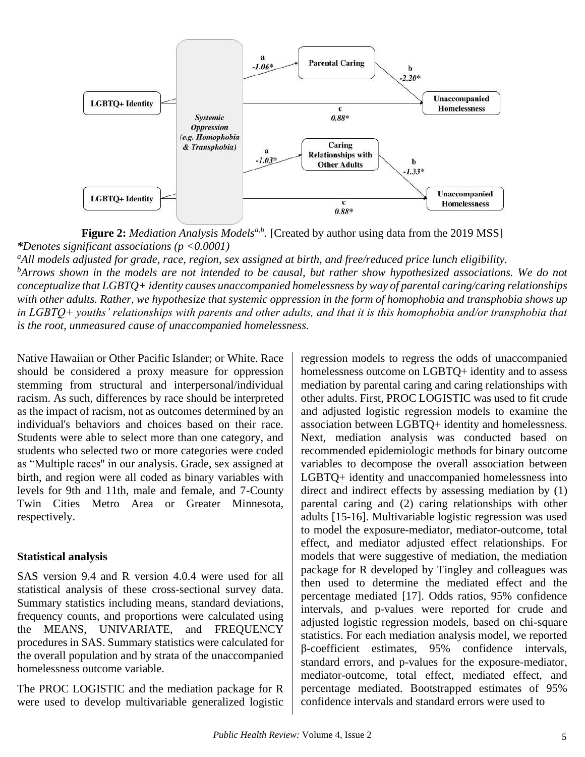

Figure 2: *Mediation Analysis Models<sup>a,b</sup>*. [Created by author using data from the 2019 MSS] *\*Denotes significant associations (p <0.0001)*

*<sup>a</sup>All models adjusted for grade, race, region, sex assigned at birth, and free/reduced price lunch eligibility. <sup>b</sup>Arrows shown in the models are not intended to be causal, but rather show hypothesized associations. We do not conceptualize that LGBTQ+ identity causes unaccompanied homelessness by way of parental caring/caring relationships*  with other adults. Rather, we hypothesize that systemic oppression in the form of homophobia and transphobia shows up *in LGBTQ+ youths' relationships with parents and other adults, and that it is this homophobia and/or transphobia that is the root, unmeasured cause of unaccompanied homelessness.*

Native Hawaiian or Other Pacific Islander; or White. Race should be considered a proxy measure for oppression stemming from structural and interpersonal/individual racism. As such, differences by race should be interpreted as the impact of racism, not as outcomes determined by an individual's behaviors and choices based on their race. Students were able to select more than one category, and students who selected two or more categories were coded as "Multiple races'' in our analysis. Grade, sex assigned at birth, and region were all coded as binary variables with levels for 9th and 11th, male and female, and 7-County Twin Cities Metro Area or Greater Minnesota, respectively.

# **Statistical analysis**

SAS version 9.4 and R version 4.0.4 were used for all statistical analysis of these cross-sectional survey data. Summary statistics including means, standard deviations, frequency counts, and proportions were calculated using the MEANS, UNIVARIATE, and FREQUENCY procedures in SAS. Summary statistics were calculated for the overall population and by strata of the unaccompanied homelessness outcome variable.

The PROC LOGISTIC and the mediation package for R were used to develop multivariable generalized logistic regression models to regress the odds of unaccompanied homelessness outcome on LGBTQ+ identity and to assess mediation by parental caring and caring relationships with other adults. First, PROC LOGISTIC was used to fit crude and adjusted logistic regression models to examine the association between LGBTQ+ identity and homelessness. Next, mediation analysis was conducted based on recommended epidemiologic methods for binary outcome variables to decompose the overall association between LGBTQ+ identity and unaccompanied homelessness into direct and indirect effects by assessing mediation by (1) parental caring and (2) caring relationships with other adults [15-16]. Multivariable logistic regression was used to model the exposure-mediator, mediator-outcome, total effect, and mediator adjusted effect relationships. For models that were suggestive of mediation, the mediation package for R developed by Tingley and colleagues was then used to determine the mediated effect and the percentage mediated [17]. Odds ratios, 95% confidence intervals, and p-values were reported for crude and adjusted logistic regression models, based on chi-square statistics. For each mediation analysis model, we reported β-coefficient estimates, 95% confidence intervals, standard errors, and p-values for the exposure-mediator, mediator-outcome, total effect, mediated effect, and percentage mediated. Bootstrapped estimates of 95% confidence intervals and standard errors were used to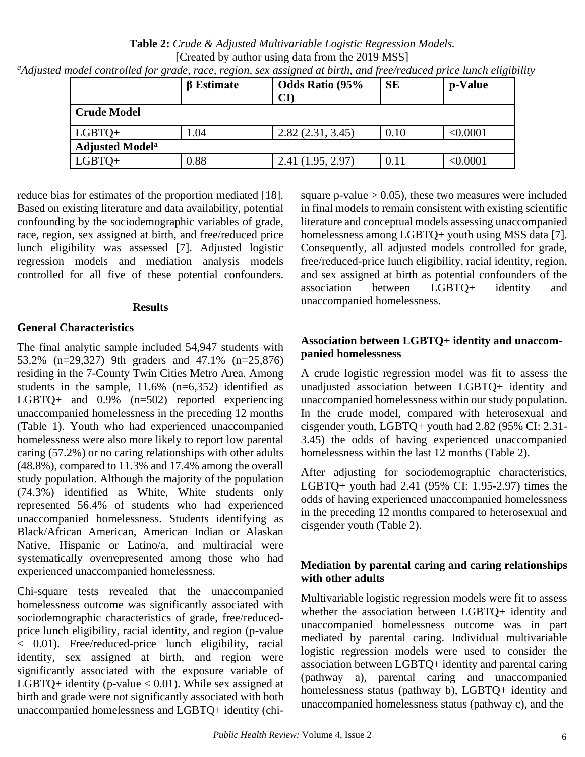**Table 2:** *Crude & Adjusted Multivariable Logistic Regression Models.*  [Created by author using data from the 2019 MSS]]

| <sup>a</sup> Adjusted model controlled for grade, race, region, sex assigned at birth, and free/reduced price lunch eligibility |  |  |  |
|---------------------------------------------------------------------------------------------------------------------------------|--|--|--|

|                                   | $\beta$ Estimate | <b>Odds Ratio (95%</b><br>$\mathbf{C}\mathbf{I}$ | <b>SE</b> | p-Value  |
|-----------------------------------|------------------|--------------------------------------------------|-----------|----------|
| <b>Crude Model</b>                |                  |                                                  |           |          |
| $LGBTQ+$                          | 1.04             | 2.82(2.31, 3.45)                                 | 0.10      | < 0.0001 |
| <b>Adjusted Model<sup>a</sup></b> |                  |                                                  |           |          |
| $LGBTO+$                          | 0.88             | 2.41(1.95, 2.97)                                 | 0.11      | < 0.0001 |

reduce bias for estimates of the proportion mediated [18]. Based on existing literature and data availability, potential confounding by the sociodemographic variables of grade, race, region, sex assigned at birth, and free/reduced price lunch eligibility was assessed [7]. Adjusted logistic regression models and mediation analysis models controlled for all five of these potential confounders.

## **Results**

# **General Characteristics**

The final analytic sample included 54,947 students with 53.2% (n=29,327) 9th graders and 47.1% (n=25,876) residing in the 7-County Twin Cities Metro Area. Among students in the sample, 11.6% (n=6,352) identified as LGBTQ+ and 0.9% (n=502) reported experiencing unaccompanied homelessness in the preceding 12 months (Table 1). Youth who had experienced unaccompanied homelessness were also more likely to report low parental caring (57.2%) or no caring relationships with other adults (48.8%), compared to 11.3% and 17.4% among the overall study population. Although the majority of the population (74.3%) identified as White, White students only represented 56.4% of students who had experienced unaccompanied homelessness. Students identifying as Black/African American, American Indian or Alaskan Native, Hispanic or Latino/a, and multiracial were systematically overrepresented among those who had experienced unaccompanied homelessness.

Chi-square tests revealed that the unaccompanied homelessness outcome was significantly associated with sociodemographic characteristics of grade, free/reducedprice lunch eligibility, racial identity, and region (p-value < 0.01). Free/reduced-price lunch eligibility, racial identity, sex assigned at birth, and region were significantly associated with the exposure variable of LGBTQ+ identity (p-value  $< 0.01$ ). While sex assigned at birth and grade were not significantly associated with both unaccompanied homelessness and LGBTQ+ identity (chisquare p-value  $> 0.05$ ), these two measures were included in final models to remain consistent with existing scientific literature and conceptual models assessing unaccompanied homelessness among LGBTQ+ youth using MSS data [7]. Consequently, all adjusted models controlled for grade, free/reduced-price lunch eligibility, racial identity, region, and sex assigned at birth as potential confounders of the association between LGBTQ+ identity and unaccompanied homelessness.

# **Association between LGBTQ+ identity and unaccompanied homelessness**

A crude logistic regression model was fit to assess the unadjusted association between LGBTQ+ identity and unaccompanied homelessness within our study population. In the crude model, compared with heterosexual and cisgender youth, LGBTQ+ youth had 2.82 (95% CI: 2.31- 3.45) the odds of having experienced unaccompanied homelessness within the last 12 months (Table 2).

After adjusting for sociodemographic characteristics, LGBTQ+ youth had 2.41 (95% CI: 1.95-2.97) times the odds of having experienced unaccompanied homelessness in the preceding 12 months compared to heterosexual and cisgender youth (Table 2).

# **Mediation by parental caring and caring relationships with other adults**

Multivariable logistic regression models were fit to assess whether the association between LGBTQ+ identity and unaccompanied homelessness outcome was in part mediated by parental caring. Individual multivariable logistic regression models were used to consider the association between LGBTQ+ identity and parental caring (pathway a), parental caring and unaccompanied homelessness status (pathway b), LGBTQ+ identity and unaccompanied homelessness status (pathway c), and the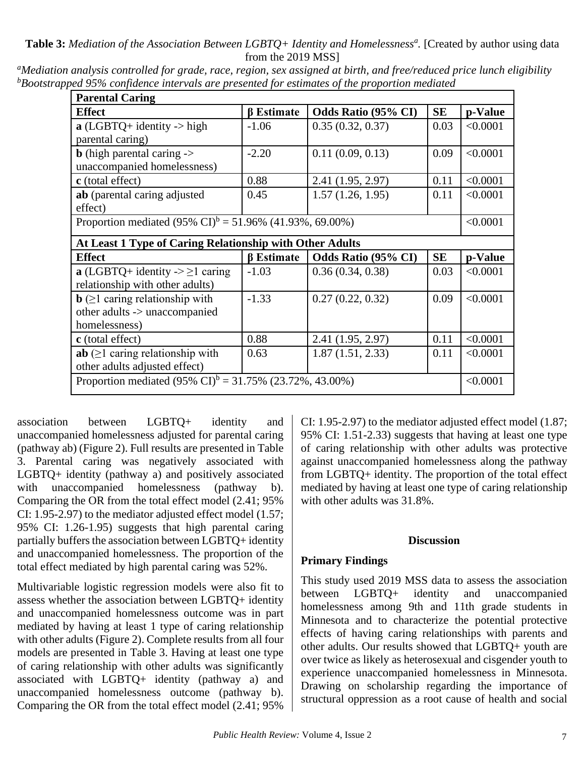**Table 3:** *Mediation of the Association Between LGBTQ+ Identity and Homelessness<sup>a</sup> .* [Created by author using data from the 2019 MSS]

| <b>Parental Caring</b>                                               |                                                                      |                     |           |          |  |  |
|----------------------------------------------------------------------|----------------------------------------------------------------------|---------------------|-----------|----------|--|--|
| <b>Effect</b>                                                        | $\beta$ Estimate                                                     | Odds Ratio (95% CI) | <b>SE</b> | p-Value  |  |  |
| $\mathbf{a}$ (LGBTQ+ identity -> high                                | $-1.06$                                                              | 0.35(0.32, 0.37)    | 0.03      | < 0.0001 |  |  |
| parental caring)                                                     |                                                                      |                     |           |          |  |  |
| <b>b</b> (high parental caring $\rightarrow$                         | $-2.20$                                                              | 0.11(0.09, 0.13)    | 0.09      | < 0.0001 |  |  |
| unaccompanied homelessness)                                          |                                                                      |                     |           |          |  |  |
| c (total effect)                                                     | 0.88                                                                 | 2.41 (1.95, 2.97)   | 0.11      | < 0.0001 |  |  |
| ab (parental caring adjusted                                         | 0.45                                                                 | 1.57(1.26, 1.95)    | 0.11      | < 0.0001 |  |  |
| effect)                                                              |                                                                      |                     |           |          |  |  |
|                                                                      | Proportion mediated $(95\% \text{ CI})^b = 51.96\%$ (41.93%, 69.00%) |                     |           |          |  |  |
| At Least 1 Type of Caring Relationship with Other Adults             |                                                                      |                     |           |          |  |  |
| <b>Effect</b>                                                        | <b>B</b> Estimate                                                    | Odds Ratio (95% CI) | <b>SE</b> | p-Value  |  |  |
| a (LGBTQ+ identity -> $\geq$ 1 caring                                | $-1.03$                                                              | 0.36(0.34, 0.38)    | 0.03      | < 0.0001 |  |  |
| relationship with other adults)                                      |                                                                      |                     |           |          |  |  |
| $\mathbf{b}$ ( $\geq$ 1 caring relationship with                     | $-1.33$                                                              | 0.27(0.22, 0.32)    | 0.09      | < 0.0001 |  |  |
| other adults -> unaccompanied                                        |                                                                      |                     |           |          |  |  |
| homelessness)                                                        |                                                                      |                     |           |          |  |  |
| c (total effect)                                                     | 0.88                                                                 | 2.41 (1.95, 2.97)   | 0.11      | < 0.0001 |  |  |
| $ab \geq 1$ caring relationship with                                 | 0.63                                                                 | 1.87(1.51, 2.33)    | 0.11      | < 0.0001 |  |  |
| other adults adjusted effect)                                        |                                                                      |                     |           |          |  |  |
| Proportion mediated $(95\% \text{ CI})^b = 31.75\%$ (23.72%, 43.00%) |                                                                      |                     |           | < 0.0001 |  |  |

*<sup>a</sup>Mediation analysis controlled for grade, race, region, sex assigned at birth, and free/reduced price lunch eligibility <sup>b</sup>Bootstrapped 95% confidence intervals are presented for estimates of the proportion mediated*

association between LGBTQ+ identity and unaccompanied homelessness adjusted for parental caring (pathway ab) (Figure 2). Full results are presented in Table 3. Parental caring was negatively associated with LGBTQ+ identity (pathway a) and positively associated with unaccompanied homelessness (pathway b). Comparing the OR from the total effect model (2.41; 95% CI: 1.95-2.97) to the mediator adjusted effect model (1.57; 95% CI: 1.26-1.95) suggests that high parental caring partially buffers the association between LGBTQ+ identity and unaccompanied homelessness. The proportion of the total effect mediated by high parental caring was 52%.

Multivariable logistic regression models were also fit to assess whether the association between LGBTQ+ identity and unaccompanied homelessness outcome was in part mediated by having at least 1 type of caring relationship with other adults (Figure 2). Complete results from all four models are presented in Table 3. Having at least one type of caring relationship with other adults was significantly associated with LGBTQ+ identity (pathway a) and unaccompanied homelessness outcome (pathway b). Comparing the OR from the total effect model (2.41; 95%

CI: 1.95-2.97) to the mediator adjusted effect model (1.87; 95% CI: 1.51-2.33) suggests that having at least one type of caring relationship with other adults was protective against unaccompanied homelessness along the pathway from LGBTQ+ identity. The proportion of the total effect mediated by having at least one type of caring relationship with other adults was 31.8%.

#### **Discussion**

## **Primary Findings**

This study used 2019 MSS data to assess the association between LGBTQ+ identity and unaccompanied homelessness among 9th and 11th grade students in Minnesota and to characterize the potential protective effects of having caring relationships with parents and other adults. Our results showed that LGBTQ+ youth are over twice as likely as heterosexual and cisgender youth to experience unaccompanied homelessness in Minnesota. Drawing on scholarship regarding the importance of structural oppression as a root cause of health and social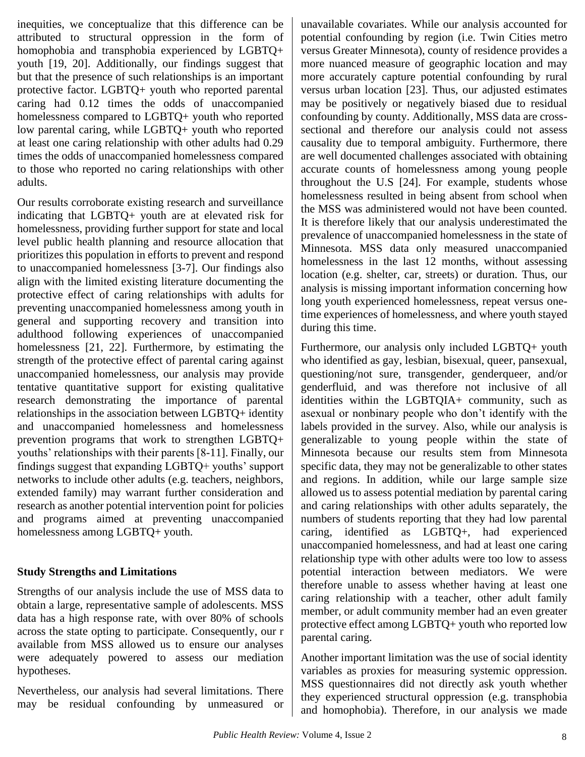inequities, we conceptualize that this difference can be attributed to structural oppression in the form of homophobia and transphobia experienced by LGBTQ+ youth [19, 20]. Additionally, our findings suggest that but that the presence of such relationships is an important protective factor. LGBTQ+ youth who reported parental caring had 0.12 times the odds of unaccompanied homelessness compared to LGBTQ+ youth who reported low parental caring, while LGBTQ+ youth who reported at least one caring relationship with other adults had 0.29 times the odds of unaccompanied homelessness compared to those who reported no caring relationships with other adults.

Our results corroborate existing research and surveillance indicating that LGBTQ+ youth are at elevated risk for homelessness, providing further support for state and local level public health planning and resource allocation that prioritizes this population in efforts to prevent and respond to unaccompanied homelessness [3-7]. Our findings also align with the limited existing literature documenting the protective effect of caring relationships with adults for preventing unaccompanied homelessness among youth in general and supporting recovery and transition into adulthood following experiences of unaccompanied homelessness [21, 22]. Furthermore, by estimating the strength of the protective effect of parental caring against unaccompanied homelessness, our analysis may provide tentative quantitative support for existing qualitative research demonstrating the importance of parental relationships in the association between LGBTQ+ identity and unaccompanied homelessness and homelessness prevention programs that work to strengthen LGBTQ+ youths' relationships with their parents [8-11]. Finally, our findings suggest that expanding LGBTQ+ youths' support networks to include other adults (e.g. teachers, neighbors, extended family) may warrant further consideration and research as another potential intervention point for policies and programs aimed at preventing unaccompanied homelessness among LGBTQ+ youth.

# **Study Strengths and Limitations**

Strengths of our analysis include the use of MSS data to obtain a large, representative sample of adolescents. MSS data has a high response rate, with over 80% of schools across the state opting to participate. Consequently, our r available from MSS allowed us to ensure our analyses were adequately powered to assess our mediation hypotheses.

Nevertheless, our analysis had several limitations. There may be residual confounding by unmeasured or

unavailable covariates. While our analysis accounted for potential confounding by region (i.e. Twin Cities metro versus Greater Minnesota), county of residence provides a more nuanced measure of geographic location and may more accurately capture potential confounding by rural versus urban location [23]. Thus, our adjusted estimates may be positively or negatively biased due to residual confounding by county. Additionally, MSS data are crosssectional and therefore our analysis could not assess causality due to temporal ambiguity. Furthermore, there are well documented challenges associated with obtaining accurate counts of homelessness among young people throughout the U.S [24]. For example, students whose homelessness resulted in being absent from school when the MSS was administered would not have been counted. It is therefore likely that our analysis underestimated the prevalence of unaccompanied homelessness in the state of Minnesota. MSS data only measured unaccompanied homelessness in the last 12 months, without assessing location (e.g. shelter, car, streets) or duration. Thus, our analysis is missing important information concerning how long youth experienced homelessness, repeat versus onetime experiences of homelessness, and where youth stayed during this time.

Furthermore, our analysis only included LGBTQ+ youth who identified as gay, lesbian, bisexual, queer, pansexual, questioning/not sure, transgender, genderqueer, and/or genderfluid, and was therefore not inclusive of all identities within the LGBTQIA+ community, such as asexual or nonbinary people who don't identify with the labels provided in the survey. Also, while our analysis is generalizable to young people within the state of Minnesota because our results stem from Minnesota specific data, they may not be generalizable to other states and regions. In addition, while our large sample size allowed us to assess potential mediation by parental caring and caring relationships with other adults separately, the numbers of students reporting that they had low parental caring, identified as LGBTQ+, had experienced unaccompanied homelessness, and had at least one caring relationship type with other adults were too low to assess potential interaction between mediators. We were therefore unable to assess whether having at least one caring relationship with a teacher, other adult family member, or adult community member had an even greater protective effect among LGBTQ+ youth who reported low parental caring.

Another important limitation was the use of social identity variables as proxies for measuring systemic oppression. MSS questionnaires did not directly ask youth whether they experienced structural oppression (e.g. transphobia and homophobia). Therefore, in our analysis we made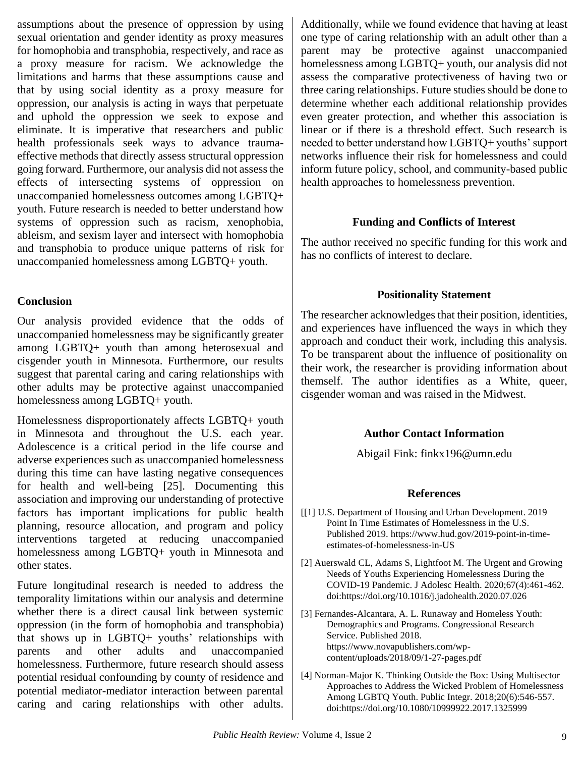assumptions about the presence of oppression by using sexual orientation and gender identity as proxy measures for homophobia and transphobia, respectively, and race as a proxy measure for racism. We acknowledge the limitations and harms that these assumptions cause and that by using social identity as a proxy measure for oppression, our analysis is acting in ways that perpetuate and uphold the oppression we seek to expose and eliminate. It is imperative that researchers and public health professionals seek ways to advance traumaeffective methods that directly assess structural oppression going forward. Furthermore, our analysis did not assess the effects of intersecting systems of oppression on unaccompanied homelessness outcomes among LGBTQ+ youth. Future research is needed to better understand how systems of oppression such as racism, xenophobia, ableism, and sexism layer and intersect with homophobia and transphobia to produce unique patterns of risk for unaccompanied homelessness among LGBTQ+ youth.

# **Conclusion**

Our analysis provided evidence that the odds of unaccompanied homelessness may be significantly greater among LGBTQ+ youth than among heterosexual and cisgender youth in Minnesota. Furthermore, our results suggest that parental caring and caring relationships with other adults may be protective against unaccompanied homelessness among LGBTQ+ youth.

Homelessness disproportionately affects LGBTQ+ youth in Minnesota and throughout the U.S. each year. Adolescence is a critical period in the life course and adverse experiences such as unaccompanied homelessness during this time can have lasting negative consequences for health and well-being [25]. Documenting this association and improving our understanding of protective factors has important implications for public health planning, resource allocation, and program and policy interventions targeted at reducing unaccompanied homelessness among LGBTQ+ youth in Minnesota and other states.

Future longitudinal research is needed to address the temporality limitations within our analysis and determine whether there is a direct causal link between systemic oppression (in the form of homophobia and transphobia) that shows up in LGBTQ+ youths' relationships with parents and other adults and unaccompanied homelessness. Furthermore, future research should assess potential residual confounding by county of residence and potential mediator-mediator interaction between parental caring and caring relationships with other adults.

Additionally, while we found evidence that having at least one type of caring relationship with an adult other than a parent may be protective against unaccompanied homelessness among LGBTQ+ youth, our analysis did not assess the comparative protectiveness of having two or three caring relationships. Future studies should be done to determine whether each additional relationship provides even greater protection, and whether this association is linear or if there is a threshold effect. Such research is needed to better understand how LGBTQ+ youths' support networks influence their risk for homelessness and could inform future policy, school, and community-based public health approaches to homelessness prevention.

# **Funding and Conflicts of Interest**

The author received no specific funding for this work and has no conflicts of interest to declare.

# **Positionality Statement**

The researcher acknowledges that their position, identities, and experiences have influenced the ways in which they approach and conduct their work, including this analysis. To be transparent about the influence of positionality on their work, the researcher is providing information about themself. The author identifies as a White, queer, cisgender woman and was raised in the Midwest.

# **Author Contact Information**

Abigail Fink: finkx196@umn.edu

# **References**

- [1] U.S. Department of Housing and Urban Development. 2019 Point In Time Estimates of Homelessness in the U.S. Published 2019. [https://www.hud.gov/2019-point-in-time](https://www.hud.gov/2019-point-in-time-estimates-of-homelessness-in-US)[estimates-of-homelessness-in-US](https://www.hud.gov/2019-point-in-time-estimates-of-homelessness-in-US)
- [2] Auerswald CL, Adams S, Lightfoot M. The Urgent and Growing Needs of Youths Experiencing Homelessness During the COVID-19 Pandemic. J Adolesc Health. 2020;67(4):461-462. doi:https://doi.org/10.1016/j.jadohealth.2020.07.026
- [3] Fernandes-Alcantara, A. L. Runaway and Homeless Youth: Demographics and Programs. Congressional Research Service. Published 2018. https://www.novapublishers.com/wpcontent/uploads/2018/09/1-27-pages.pdf
- [4] Norman-Major K. Thinking Outside the Box: Using Multisector Approaches to Address the Wicked Problem of Homelessness Among LGBTQ Youth. Public Integr. 2018;20(6):546-557. doi:https://doi.org/10.1080/10999922.2017.1325999